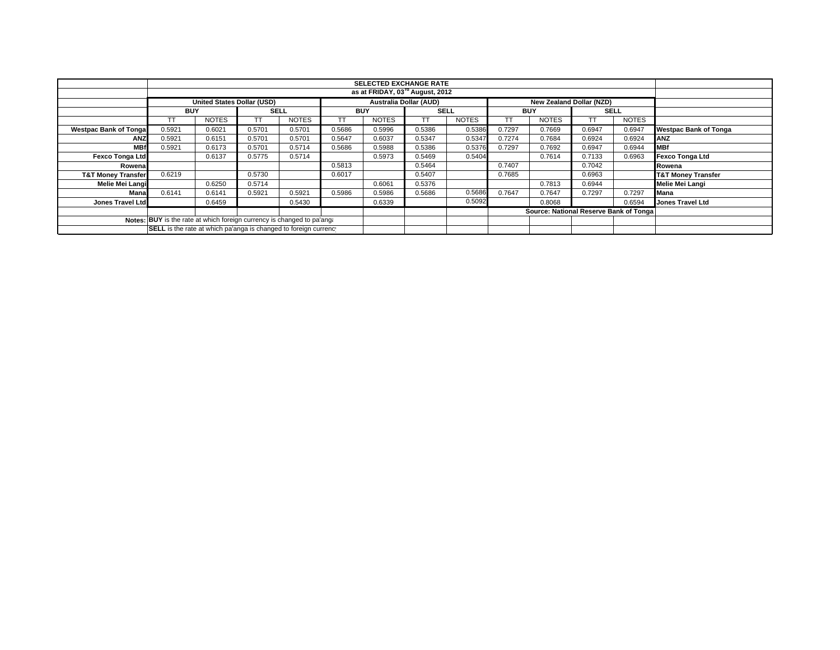|                                                                        |                                                                  |              |             |              |            | <b>SELECTED EXCHANGE RATE</b> |             |              |            |                                        |             |              |                               |
|------------------------------------------------------------------------|------------------------------------------------------------------|--------------|-------------|--------------|------------|-------------------------------|-------------|--------------|------------|----------------------------------------|-------------|--------------|-------------------------------|
|                                                                        | as at FRIDAY, 03 <sup>rd</sup> August, 2012                      |              |             |              |            |                               |             |              |            |                                        |             |              |                               |
|                                                                        | United States Dollar (USD)                                       |              |             |              |            | <b>Australia Dollar (AUD)</b> |             |              |            | New Zealand Dollar (NZD)               |             |              |                               |
|                                                                        | <b>BUY</b>                                                       |              | <b>SELL</b> |              | <b>BUY</b> |                               | <b>SELL</b> |              | <b>BUY</b> |                                        | <b>SELL</b> |              |                               |
|                                                                        |                                                                  | <b>NOTES</b> |             | <b>NOTES</b> |            | <b>NOTES</b>                  | TТ          | <b>NOTES</b> | TT         | <b>NOTES</b>                           |             | <b>NOTES</b> |                               |
| <b>Westpac Bank of Tonga</b>                                           | 0.5921                                                           | 0.6021       | 0.5701      | 0.5701       | 0.5686     | 0.5996                        | 0.5386      | 0.5386       | 0.7297     | 0.7669                                 | 0.6947      | 0.6947       | <b>Westpac Bank of Tonga</b>  |
| <b>ANZ</b>                                                             | 0.5921                                                           | 0.6151       | 0.5701      | 0.5701       | 0.5647     | 0.6037                        | 0.5347      | 0.5347       | 0.7274     | 0.7684                                 | 0.6924      | 0.6924       | ANZ                           |
| <b>MBf</b>                                                             | 0.5921                                                           | 0.6173       | 0.5701      | 0.5714       | 0.5686     | 0.5988                        | 0.5386      | 0.5376       | 0.7297     | 0.7692                                 | 0.6947      | 0.6944       | <b>IMBf</b>                   |
| <b>Fexco Tonga Ltd</b>                                                 |                                                                  | 0.6137       | 0.5775      | 0.5714       |            | 0.5973                        | 0.5469      | 0.5404       |            | 0.7614                                 | 0.7133      | 0.6963       | Fexco Tonga Ltd               |
| Rowena                                                                 |                                                                  |              |             |              | 0.5813     |                               | 0.5464      |              | 0.7407     |                                        | 0.7042      |              | Rowena                        |
| <b>T&amp;T Money Transfer</b>                                          | 0.6219                                                           |              | 0.5730      |              | 0.6017     |                               | 0.5407      |              | 0.7685     |                                        | 0.6963      |              | <b>T&amp;T Money Transfer</b> |
| Melie Mei Langi                                                        |                                                                  | 0.6250       | 0.5714      |              |            | 0.6061                        | 0.5376      |              |            | 0.7813                                 | 0.6944      |              | Melie Mei Langi               |
| Mana                                                                   | 0.6141                                                           | 0.6141       | 0.5921      | 0.5921       | 0.5986     | 0.5986                        | 0.5686      | 0.5686       | 0.7647     | 0.7647                                 | 0.7297      | 0.7297       | <b>Mana</b>                   |
| <b>Jones Travel Ltd</b>                                                |                                                                  | 0.6459       |             | 0.5430       |            | 0.6339                        |             | 0.5092       |            | 0.8068                                 |             | 0.6594       | <b>Jones Travel Ltd</b>       |
|                                                                        |                                                                  |              |             |              |            |                               |             |              |            | Source: National Reserve Bank of Tonga |             |              |                               |
| Notes: BUY is the rate at which foreign currency is changed to pa'ang. |                                                                  |              |             |              |            |                               |             |              |            |                                        |             |              |                               |
|                                                                        | SELL is the rate at which pa'anga is changed to foreign currency |              |             |              |            |                               |             |              |            |                                        |             |              |                               |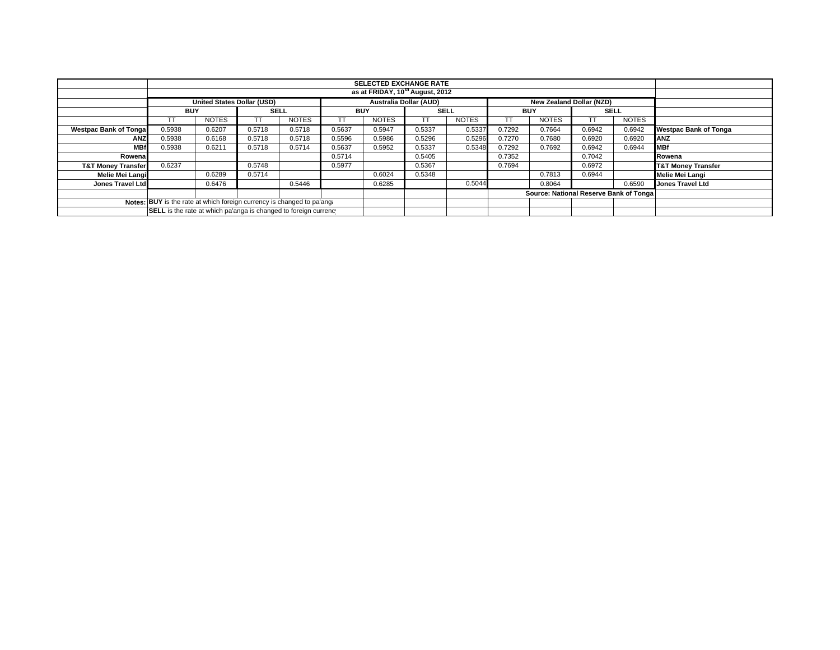|                                                                        | <b>SELECTED EXCHANGE RATE</b>                                    |              |             |              |            |              |                               |              |            |                          |                                        |              |                               |
|------------------------------------------------------------------------|------------------------------------------------------------------|--------------|-------------|--------------|------------|--------------|-------------------------------|--------------|------------|--------------------------|----------------------------------------|--------------|-------------------------------|
| as at FRIDAY, 10 <sup>th</sup> August, 2012                            |                                                                  |              |             |              |            |              |                               |              |            |                          |                                        |              |                               |
|                                                                        | <b>United States Dollar (USD)</b>                                |              |             |              |            |              | <b>Australia Dollar (AUD)</b> |              |            | New Zealand Dollar (NZD) |                                        |              |                               |
|                                                                        | <b>BUY</b>                                                       |              | <b>SELL</b> |              | <b>BUY</b> |              | <b>SELL</b>                   |              | <b>BUY</b> |                          | <b>SELL</b>                            |              |                               |
|                                                                        | TТ                                                               | <b>NOTES</b> |             | <b>NOTES</b> | тт         | <b>NOTES</b> | ТT                            | <b>NOTES</b> |            | <b>NOTES</b>             |                                        | <b>NOTES</b> |                               |
| <b>Westpac Bank of Tongal</b>                                          | 0.5938                                                           | 0.6207       | 0.5718      | 0.5718       | 0.5637     | 0.5947       | 0.5337                        | 0.5337       | 0.7292     | 0.7664                   | 0.6942                                 | 0.6942       | <b>Westpac Bank of Tonga</b>  |
| ANZ                                                                    | 0.5938                                                           | 0.6168       | 0.5718      | 0.5718       | 0.5596     | 0.5986       | 0.5296                        | 0.5296       | 0.7270     | 0.7680                   | 0.6920                                 | 0.6920       | ANZ                           |
| <b>MBf</b>                                                             | 0.5938                                                           | 0.6211       | 0.5718      | 0.5714       | 0.5637     | 0.5952       | 0.5337                        | 0.5348       | 0.7292     | 0.7692                   | 0.6942                                 | 0.6944       | <b>MBf</b>                    |
| Rowenal                                                                |                                                                  |              |             |              | 0.5714     |              | 0.5405                        |              | 0.7352     |                          | 0.7042                                 |              | Rowena                        |
| <b>T&amp;T Money Transfer</b>                                          | 0.6237                                                           |              | 0.5748      |              | 0.5977     |              | 0.5367                        |              | 0.7694     |                          | 0.6972                                 |              | <b>T&amp;T Money Transfer</b> |
| Melie Mei Langi                                                        |                                                                  | 0.6289       | 0.5714      |              |            | 0.6024       | 0.5348                        |              |            | 0.7813                   | 0.6944                                 |              | Melie Mei Langi               |
| Jones Travel Ltd                                                       |                                                                  | 0.6476       |             | 0.5446       |            | 0.6285       |                               | 0.5044       |            | 0.8064                   |                                        | 0.6590       | <b>Jones Travel Ltd</b>       |
|                                                                        |                                                                  |              |             |              |            |              |                               |              |            |                          | Source: National Reserve Bank of Tonga |              |                               |
| Notes: BUY is the rate at which foreign currency is changed to pa'ang: |                                                                  |              |             |              |            |              |                               |              |            |                          |                                        |              |                               |
|                                                                        | SELL is the rate at which pa'anga is changed to foreign currency |              |             |              |            |              |                               |              |            |                          |                                        |              |                               |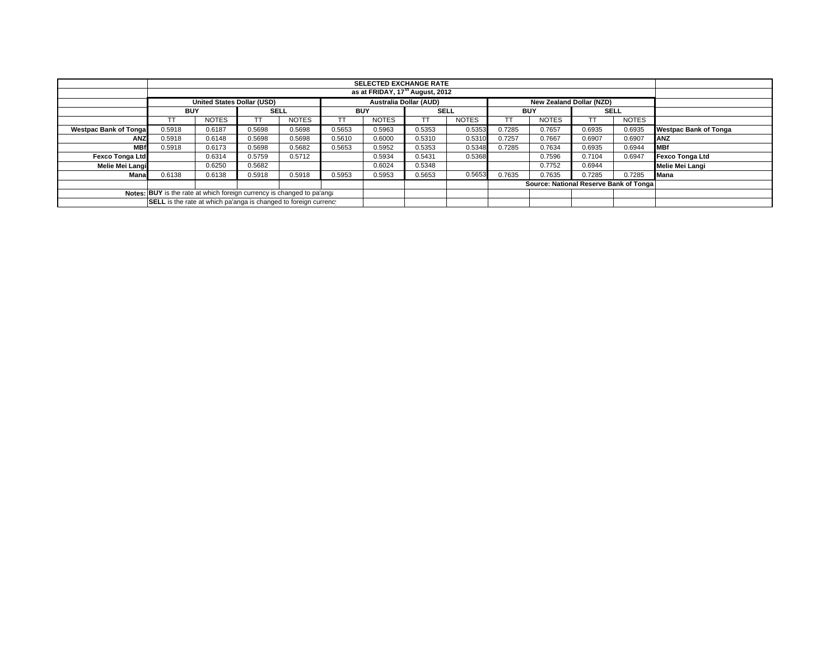|                                                                        | <b>SELECTED EXCHANGE RATE</b>                                    |              |             |              |            |                               |             |              |            |                                        |             |              |                              |  |
|------------------------------------------------------------------------|------------------------------------------------------------------|--------------|-------------|--------------|------------|-------------------------------|-------------|--------------|------------|----------------------------------------|-------------|--------------|------------------------------|--|
| as at FRIDAY, 17 <sup>th</sup> August, 2012                            |                                                                  |              |             |              |            |                               |             |              |            |                                        |             |              |                              |  |
|                                                                        | <b>United States Dollar (USD)</b>                                |              |             |              |            | <b>Australia Dollar (AUD)</b> |             |              |            | New Zealand Dollar (NZD)               |             |              |                              |  |
|                                                                        | <b>BUY</b>                                                       |              | <b>SELL</b> |              | <b>BUY</b> |                               | <b>SELL</b> |              | <b>BUY</b> |                                        | <b>SELL</b> |              |                              |  |
|                                                                        |                                                                  | <b>NOTES</b> |             | <b>NOTES</b> |            | <b>NOTES</b>                  |             | <b>NOTES</b> |            | <b>NOTES</b>                           |             | <b>NOTES</b> |                              |  |
| <b>Westpac Bank of Tongal</b>                                          | 0.5918                                                           | 0.6187       | 0.5698      | 0.5698       | 0.5653     | 0.5963                        | 0.5353      | 0.5353       | 0.7285     | 0.7657                                 | 0.6935      | 0.6935       | <b>Westpac Bank of Tonga</b> |  |
| <b>ANZ</b>                                                             | 0.5918                                                           | 0.6148       | 0.5698      | 0.5698       | 0.5610     | 0.6000                        | 0.5310      | 0.5310       | 0.7257     | 0.7667                                 | 0.6907      | 0.6907       | <b>ANZ</b>                   |  |
| <b>MBf</b>                                                             | 0.5918                                                           | 0.6173       | 0.5698      | 0.5682       | 0.5653     | 0.5952                        | 0.5353      | 0.5348       | 0.7285     | 0.7634                                 | 0.6935      | 0.6944       | <b>MBf</b>                   |  |
| Fexco Tonga Ltd                                                        |                                                                  | 0.6314       | 0.5759      | 0.5712       |            | 0.5934                        | 0.5431      | 0.5368       |            | 0.7596                                 | 0.7104      | 0.6947       | Fexco Tonga Ltd              |  |
| Melie Mei Langi                                                        |                                                                  | 0.6250       | 0.5682      |              |            | 0.6024                        | 0.5348      |              |            | 0.7752                                 | 0.6944      |              | Melie Mei Langi              |  |
| Manal                                                                  | 0.6138                                                           | 0.6138       | 0.5918      | 0.5918       | 0.5953     | 0.5953                        | 0.5653      | 0.5653       | 0.7635     | 0.7635                                 | 0.7285      | 0.7285       | <b>Mana</b>                  |  |
|                                                                        |                                                                  |              |             |              |            |                               |             |              |            | Source: National Reserve Bank of Tonga |             |              |                              |  |
| Notes: BUY is the rate at which foreign currency is changed to pa'ang: |                                                                  |              |             |              |            |                               |             |              |            |                                        |             |              |                              |  |
|                                                                        | SELL is the rate at which pa'anga is changed to foreign currency |              |             |              |            |                               |             |              |            |                                        |             |              |                              |  |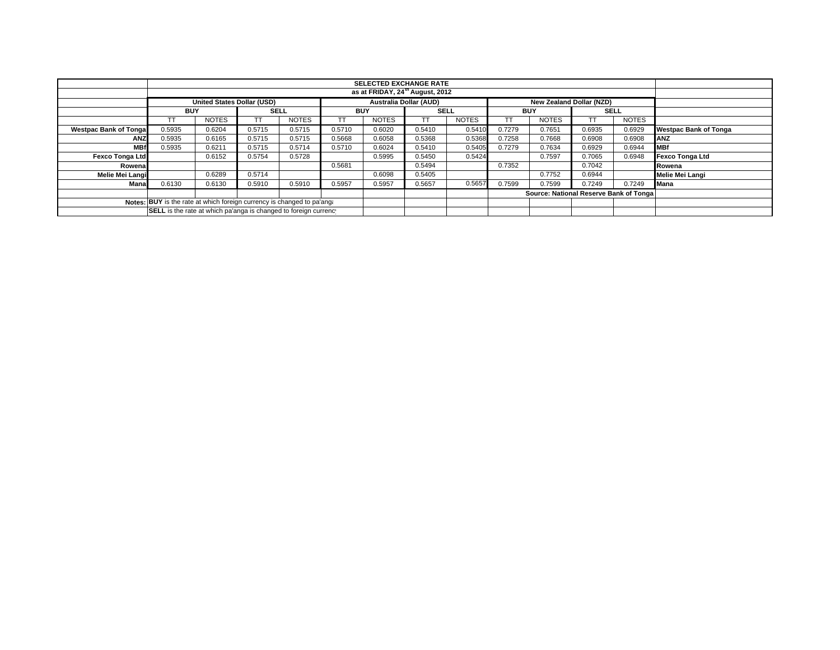|                                                                        |                                                                  | <b>SELECTED EXCHANGE RATE</b> |             |              |            |              |                        |              |            |                                        |             |              |                              |
|------------------------------------------------------------------------|------------------------------------------------------------------|-------------------------------|-------------|--------------|------------|--------------|------------------------|--------------|------------|----------------------------------------|-------------|--------------|------------------------------|
|                                                                        | as at FRIDAY, 24 <sup>th</sup> August, 2012                      |                               |             |              |            |              |                        |              |            |                                        |             |              |                              |
|                                                                        | <b>United States Dollar (USD)</b>                                |                               |             |              |            |              | Australia Dollar (AUD) |              |            | <b>New Zealand Dollar (NZD)</b>        |             |              |                              |
|                                                                        | <b>BUY</b>                                                       |                               | <b>SELL</b> |              | <b>BUY</b> |              | <b>SELL</b>            |              | <b>BUY</b> |                                        | <b>SELL</b> |              |                              |
|                                                                        |                                                                  | <b>NOTES</b>                  |             | <b>NOTES</b> |            | <b>NOTES</b> | ТT                     | <b>NOTES</b> | TΤ         | <b>NOTES</b>                           |             | <b>NOTES</b> |                              |
| <b>Westpac Bank of Tongal</b>                                          | 0.5935                                                           | 0.6204                        | 0.5715      | 0.5715       | 0.5710     | 0.6020       | 0.5410                 | 0.5410       | 0.7279     | 0.7651                                 | 0.6935      | 0.6929       | <b>Westpac Bank of Tonga</b> |
| <b>ANZ</b>                                                             | 0.5935                                                           | 0.6165                        | 0.5715      | 0.5715       | 0.5668     | 0.6058       | 0.5368                 | 0.5368       | 0.7258     | 0.7668                                 | 0.6908      | 0.6908       | <b>ANZ</b>                   |
| <b>MBf</b>                                                             | 0.5935                                                           | 0.6211                        | 0.5715      | 0.5714       | 0.5710     | 0.6024       | 0.5410                 | 0.5405       | 0.7279     | 0.7634                                 | 0.6929      | 0.6944       | <b>MBf</b>                   |
| <b>Fexco Tonga Ltd</b>                                                 |                                                                  | 0.6152                        | 0.5754      | 0.5728       |            | 0.5995       | 0.5450                 | 0.5424       |            | 0.7597                                 | 0.7065      | 0.6948       | Fexco Tonga Ltd              |
| Rowena                                                                 |                                                                  |                               |             |              | 0.5681     |              | 0.5494                 |              | 0.7352     |                                        | 0.7042      |              | Rowena                       |
| Melie Mei Langi                                                        |                                                                  | 0.6289                        | 0.5714      |              |            | 0.6098       | 0.5405                 |              |            | 0.7752                                 | 0.6944      |              | Melie Mei Langi              |
| Mana                                                                   | 0.6130                                                           | 0.6130                        | 0.5910      | 0.5910       | 0.5957     | 0.5957       | 0.5657                 | 0.5657       | 0.7599     | 0.7599                                 | 0.7249      | 0.7249       | <b>Mana</b>                  |
|                                                                        |                                                                  |                               |             |              |            |              |                        |              |            | Source: National Reserve Bank of Tonga |             |              |                              |
| Notes: BUY is the rate at which foreign currency is changed to pa'ang. |                                                                  |                               |             |              |            |              |                        |              |            |                                        |             |              |                              |
|                                                                        | SELL is the rate at which pa'anga is changed to foreign currency |                               |             |              |            |              |                        |              |            |                                        |             |              |                              |